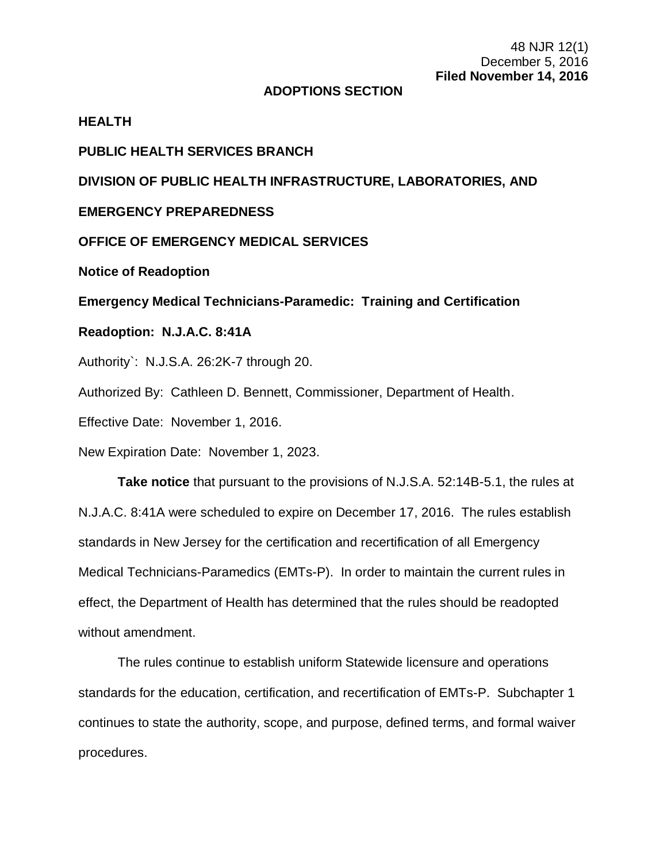### **ADOPTIONS SECTION**

#### **HEALTH**

### **PUBLIC HEALTH SERVICES BRANCH**

# **DIVISION OF PUBLIC HEALTH INFRASTRUCTURE, LABORATORIES, AND**

# **EMERGENCY PREPAREDNESS**

### **OFFICE OF EMERGENCY MEDICAL SERVICES**

**Notice of Readoption**

#### **Emergency Medical Technicians-Paramedic: Training and Certification**

# **Readoption: N.J.A.C. 8:41A**

Authority`: N.J.S.A. 26:2K-7 through 20.

Authorized By: Cathleen D. Bennett, Commissioner, Department of Health.

Effective Date: November 1, 2016.

New Expiration Date: November 1, 2023.

**Take notice** that pursuant to the provisions of N.J.S.A. 52:14B-5.1, the rules at N.J.A.C. 8:41A were scheduled to expire on December 17, 2016. The rules establish standards in New Jersey for the certification and recertification of all Emergency Medical Technicians-Paramedics (EMTs-P). In order to maintain the current rules in effect, the Department of Health has determined that the rules should be readopted without amendment.

The rules continue to establish uniform Statewide licensure and operations standards for the education, certification, and recertification of EMTs-P. Subchapter 1 continues to state the authority, scope, and purpose, defined terms, and formal waiver procedures.